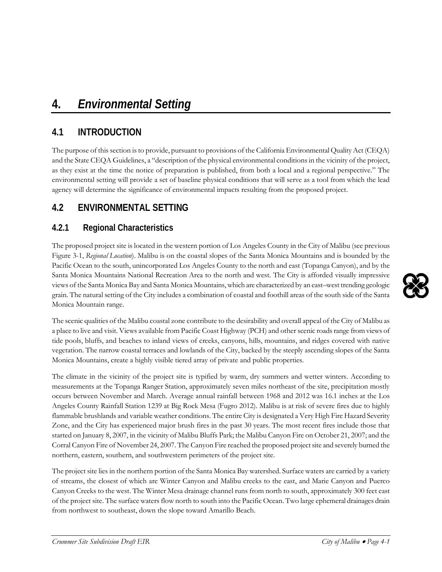## **4.1 INTRODUCTION**

The purpose of this section is to provide, pursuant to provisions of the California Environmental Quality Act (CEQA) and the State CEQA Guidelines, a "description of the physical environmental conditions in the vicinity of the project, as they exist at the time the notice of preparation is published, from both a local and a regional perspective." The environmental setting will provide a set of baseline physical conditions that will serve as a tool from which the lead agency will determine the significance of environmental impacts resulting from the proposed project.

## **4.2 ENVIRONMENTAL SETTING**

### **4.2.1 Regional Characteristics**

The proposed project site is located in the western portion of Los Angeles County in the City of Malibu (see previous Figure 3-1, *Regional Location*). Malibu is on the coastal slopes of the Santa Monica Mountains and is bounded by the Pacific Ocean to the south, unincorporated Los Angeles County to the north and east (Topanga Canyon), and by the Santa Monica Mountains National Recreation Area to the north and west. The City is afforded visually impressive views of the Santa Monica Bay and Santa Monica Mountains, which are characterized by an east–west trending geologic grain. The natural setting of the City includes a combination of coastal and foothill areas of the south side of the Santa Monica Mountain range.

The scenic qualities of the Malibu coastal zone contribute to the desirability and overall appeal of the City of Malibu as a place to live and visit. Views available from Pacific Coast Highway (PCH) and other scenic roads range from views of tide pools, bluffs, and beaches to inland views of creeks, canyons, hills, mountains, and ridges covered with native vegetation. The narrow coastal terraces and lowlands of the City, backed by the steeply ascending slopes of the Santa Monica Mountains, create a highly visible tiered array of private and public properties.

The climate in the vicinity of the project site is typified by warm, dry summers and wetter winters. According to measurements at the Topanga Ranger Station, approximately seven miles northeast of the site, precipitation mostly occurs between November and March. Average annual rainfall between 1968 and 2012 was 16.1 inches at the Los Angeles County Rainfall Station 1239 at Big Rock Mesa (Fugro 2012). Malibu is at risk of severe fires due to highly flammable brushlands and variable weather conditions. The entire City is designated a Very High Fire Hazard Severity Zone, and the City has experienced major brush fires in the past 30 years. The most recent fires include those that started on January 8, 2007, in the vicinity of Malibu Bluffs Park; the Malibu Canyon Fire on October 21, 2007; and the Corral Canyon Fire of November 24, 2007. The Canyon Fire reached the proposed project site and severely burned the northern, eastern, southern, and southwestern perimeters of the project site.

The project site lies in the northern portion of the Santa Monica Bay watershed. Surface waters are carried by a variety of streams, the closest of which are Winter Canyon and Malibu creeks to the east, and Marie Canyon and Puerco Canyon Creeks to the west. The Winter Mesa drainage channel runs from north to south, approximately 300 feet east of the project site. The surface watersflow north to south into the Pacific Ocean. Two large ephemeral drainages drain from northwest to southeast, down the slope toward Amarillo Beach.

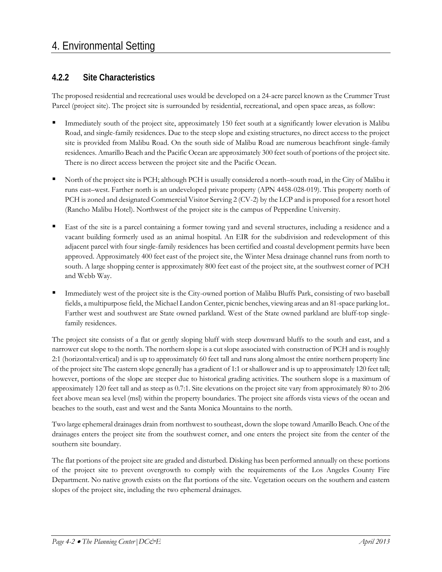#### **4.2.2 Site Characteristics**

The proposed residential and recreational uses would be developed on a 24-acre parcel known as the Crummer Trust Parcel (project site). The project site is surrounded by residential, recreational, and open space areas, as follow:

- Immediately south of the project site, approximately 150 feet south at a significantly lower elevation is Malibu Road, and single-family residences. Due to the steep slope and existing structures, no direct access to the project site is provided from Malibu Road. On the south side of Malibu Road are numerous beachfront single-family residences. Amarillo Beach and the Pacific Ocean are approximately 300 feet south of portions of the project site. There is no direct access between the project site and the Pacific Ocean.
- North of the project site is PCH; although PCH is usually considered a north–south road, in the City of Malibu it runs east–west. Farther north is an undeveloped private property (APN 4458-028-019). This property north of PCH is zoned and designated Commercial Visitor Serving 2 (CV-2) by the LCP and is proposed for a resort hotel (Rancho Malibu Hotel). Northwest of the project site is the campus of Pepperdine University.
- East of the site is a parcel containing a former towing yard and several structures, including a residence and a vacant building formerly used as an animal hospital. An EIR for the subdivision and redevelopment of this adjacent parcel with four single-family residences has been certified and coastal development permits have been approved. Approximately 400 feet east of the project site, the Winter Mesa drainage channel runs from north to south. A large shopping center is approximately 800 feet east of the project site, at the southwest corner of PCH and Webb Way.
- Immediately west of the project site is the City-owned portion of Malibu Bluffs Park, consisting of two baseball fields, a multipurpose field, the Michael Landon Center, picnic benches, viewing areas and an 81-space parking lot.. Farther west and southwest are State owned parkland. West of the State owned parkland are bluff-top singlefamily residences.

The project site consists of a flat or gently sloping bluff with steep downward bluffs to the south and east, and a narrower cut slope to the north. The northern slope is a cut slope associated with construction of PCH and is roughly 2:1 (horizontal:vertical) and is up to approximately 60 feet tall and runs along almost the entire northern property line of the project site The eastern slope generally has a gradient of 1:1 or shallower and is up to approximately 120 feet tall; however, portions of the slope are steeper due to historical grading activities. The southern slope is a maximum of approximately 120 feet tall and as steep as 0.7:1. Site elevations on the project site vary from approximately 80 to 206 feet above mean sea level (msl) within the property boundaries. The project site affords vista views of the ocean and beaches to the south, east and west and the Santa Monica Mountains to the north.

Two large ephemeral drainages drain from northwest to southeast, down the slope toward Amarillo Beach. One of the drainages enters the project site from the southwest corner, and one enters the project site from the center of the southern site boundary.

The flat portions of the project site are graded and disturbed. Disking has been performed annually on these portions of the project site to prevent overgrowth to comply with the requirements of the Los Angeles County Fire Department. No native growth exists on the flat portions of the site. Vegetation occurs on the southern and eastern slopes of the project site, including the two ephemeral drainages.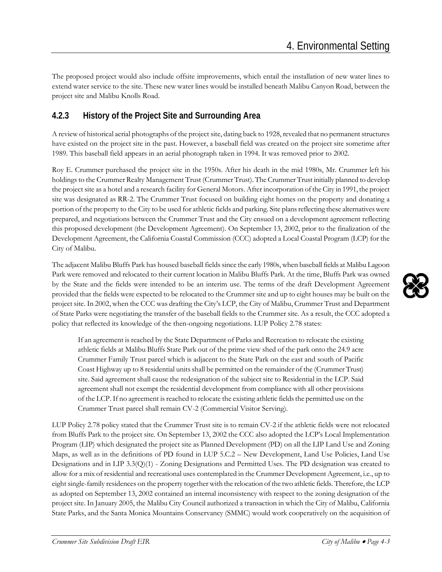The proposed project would also include offsite improvements, which entail the installation of new water lines to extend water service to the site. These new water lines would be installed beneath Malibu Canyon Road, between the project site and Malibu Knolls Road.

#### **4.2.3 History of the Project Site and Surrounding Area**

A review of historical aerial photographs of the project site, dating back to 1928, revealed that no permanent structures have existed on the project site in the past. However, a baseball field was created on the project site sometime after 1989. This baseball field appears in an aerial photograph taken in 1994. It was removed prior to 2002.

Roy E. Crummer purchased the project site in the 1950s. After his death in the mid 1980s, Mr. Crummer left his holdings to the Crummer Realty Management Trust (Crummer Trust). The Crummer Trust initially planned to develop the project site as a hotel and a research facility for General Motors. After incorporation of the City in 1991, the project site was designated as RR-2. The Crummer Trust focused on building eight homes on the property and donating a portion of the property to the City to be used for athletic fields and parking. Site plans reflecting these alternatives were prepared, and negotiations between the Crummer Trust and the City ensued on a development agreement reflecting this proposed development (the Development Agreement). On September 13, 2002, prior to the finalization of the Development Agreement, the California Coastal Commission (CCC) adopted a Local Coastal Program (LCP) for the City of Malibu.

The adjacent Malibu Bluffs Park has housed baseball fields since the early 1980s, when baseball fields at Malibu Lagoon Park were removed and relocated to their current location in Malibu Bluffs Park. At the time, Bluffs Park was owned by the State and the fields were intended to be an interim use. The terms of the draft Development Agreement provided that the fields were expected to be relocated to the Crummer site and up to eight houses may be built on the project site. In 2002, when the CCC was drafting the City's LCP, the City of Malibu, Crummer Trust and Department of State Parks were negotiating the transfer of the baseball fields to the Crummer site. As a result, the CCC adopted a policy that reflected its knowledge of the then-ongoing negotiations. LUP Policy 2.78 states:

If an agreement is reached by the State Department of Parks and Recreation to relocate the existing athletic fields at Malibu Bluffs State Park out of the prime view shed of the park onto the 24.9 acre Crummer Family Trust parcel which is adjacent to the State Park on the east and south of Pacific Coast Highway up to 8 residential units shall be permitted on the remainder of the (Crummer Trust) site. Said agreement shall cause the redesignation of the subject site to Residential in the LCP. Said agreement shall not exempt the residential development from compliance with all other provisions of the LCP. If no agreement is reached to relocate the existing athletic fields the permitted use on the Crummer Trust parcel shall remain CV-2 (Commercial Visitor Serving).

LUP Policy 2.78 policy stated that the Crummer Trust site is to remain CV-2 if the athletic fields were not relocated from Bluffs Park to the project site. On September 13, 2002 the CCC also adopted the LCP's Local Implementation Program (LIP) which designated the project site as Planned Development (PD) on all the LIP Land Use and Zoning Maps, as well as in the definitions of PD found in LUP 5.C.2 – New Development, Land Use Policies, Land Use Designations and in LIP 3.3(Q)(1) - Zoning Designations and Permitted Uses. The PD designation was created to allow for a mix of residential and recreational uses contemplated in the Crummer Development Agreement, i.e., up to eight single-family residences on the property together with the relocation of the two athletic fields. Therefore, the LCP as adopted on September 13, 2002 contained an internal inconsistency with respect to the zoning designation of the project site. In January 2005, the Malibu City Council authorized a transaction in which the City of Malibu, California State Parks, and the Santa Monica Mountains Conservancy (SMMC) would work cooperatively on the acquisition of

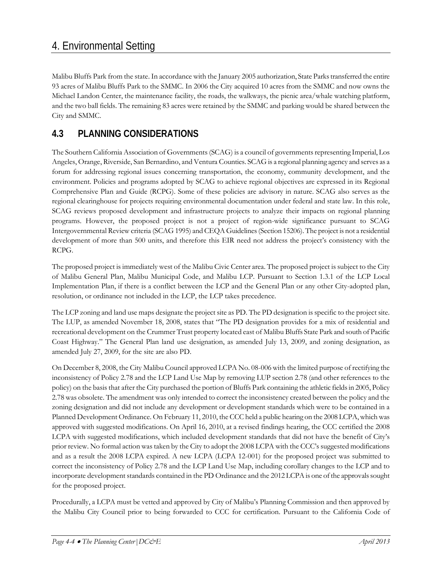Malibu Bluffs Park from the state. In accordance with the January 2005 authorization, State Parks transferred the entire 93 acres of Malibu Bluffs Park to the SMMC. In 2006 the City acquired 10 acres from the SMMC and now owns the Michael Landon Center, the maintenance facility, the roads, the walkways, the picnic area/whale watching platform, and the two ball fields. The remaining 83 acres were retained by the SMMC and parking would be shared between the City and SMMC.

#### **4.3 PLANNING CONSIDERATIONS**

The Southern California Association of Governments (SCAG) is a council of governments representing Imperial, Los Angeles, Orange, Riverside, San Bernardino, and Ventura Counties. SCAG is a regional planning agency and serves as a forum for addressing regional issues concerning transportation, the economy, community development, and the environment. Policies and programs adopted by SCAG to achieve regional objectives are expressed in its Regional Comprehensive Plan and Guide (RCPG). Some of these policies are advisory in nature. SCAG also serves as the regional clearinghouse for projects requiring environmental documentation under federal and state law. In this role, SCAG reviews proposed development and infrastructure projects to analyze their impacts on regional planning programs. However, the proposed project is not a project of region-wide significance pursuant to SCAG Intergovernmental Review criteria (SCAG 1995) and CEQA Guidelines (Section 15206). The project is not a residential development of more than 500 units, and therefore this EIR need not address the project's consistency with the RCPG.

The proposed project is immediately west of the Malibu Civic Center area. The proposed project is subject to the City of Malibu General Plan, Malibu Municipal Code, and Malibu LCP. Pursuant to Section 1.3.1 of the LCP Local Implementation Plan, if there is a conflict between the LCP and the General Plan or any other City-adopted plan, resolution, or ordinance not included in the LCP, the LCP takes precedence.

The LCP zoning and land use maps designate the project site as PD. The PD designation is specific to the project site. The LUP, as amended November 18, 2008, states that "The PD designation provides for a mix of residential and recreational development on the Crummer Trust property located east of Malibu Bluffs State Park and south of Pacific Coast Highway." The General Plan land use designation, as amended July 13, 2009, and zoning designation, as amended July 27, 2009, for the site are also PD.

On December 8, 2008, the City Malibu Council approved LCPA No. 08-006 with the limited purpose of rectifying the inconsistency of Policy 2.78 and the LCP Land Use Map by removing LUP section 2.78 (and other references to the policy) on the basis that after the City purchased the portion of Bluffs Park containing the athletic fields in 2005, Policy 2.78 was obsolete. The amendment was only intended to correct the inconsistency created between the policy and the zoning designation and did not include any development or development standards which were to be contained in a Planned Development Ordinance. On February 11, 2010, the CCC held a public hearing on the 2008 LCPA, which was approved with suggested modifications. On April 16, 2010, at a revised findings hearing, the CCC certified the 2008 LCPA with suggested modifications, which included development standards that did not have the benefit of City's prior review. No formal action was taken by the City to adopt the 2008 LCPA with the CCC's suggested modifications and as a result the 2008 LCPA expired. A new LCPA (LCPA 12-001) for the proposed project was submitted to correct the inconsistency of Policy 2.78 and the LCP Land Use Map, including corollary changes to the LCP and to incorporate development standards contained in the PD Ordinance and the 2012 LCPA is one of the approvals sought for the proposed project.

Procedurally, a LCPA must be vetted and approved by City of Malibu's Planning Commission and then approved by the Malibu City Council prior to being forwarded to CCC for certification. Pursuant to the California Code of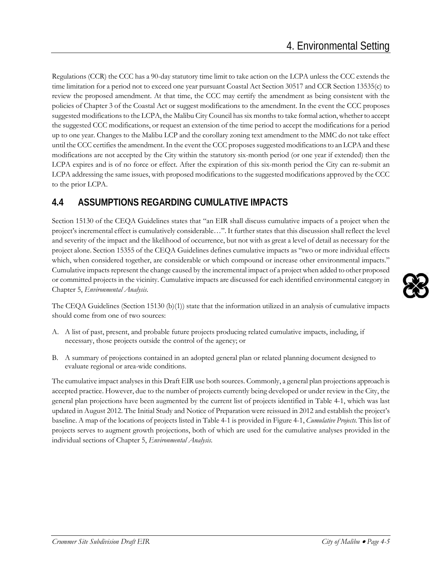Regulations (CCR) the CCC has a 90-day statutory time limit to take action on the LCPA unless the CCC extends the time limitation for a period not to exceed one year pursuant Coastal Act Section 30517 and CCR Section 13535(c) to review the proposed amendment. At that time, the CCC may certify the amendment as being consistent with the policies of Chapter 3 of the Coastal Act or suggest modifications to the amendment. In the event the CCC proposes suggested modifications to the LCPA, the Malibu City Council has six months to take formal action, whether to accept the suggested CCC modifications, or request an extension of the time period to accept the modifications for a period up to one year. Changes to the Malibu LCP and the corollary zoning text amendment to the MMC do not take effect until the CCC certifies the amendment. In the event the CCC proposes suggested modifications to an LCPA and these modifications are not accepted by the City within the statutory six-month period (or one year if extended) then the LCPA expires and is of no force or effect. After the expiration of this six-month period the City can re-submit an LCPA addressing the same issues, with proposed modifications to the suggested modifications approved by the CCC to the prior LCPA.

#### **4.4 ASSUMPTIONS REGARDING CUMULATIVE IMPACTS**

Section 15130 of the CEQA Guidelines states that "an EIR shall discuss cumulative impacts of a project when the project's incremental effect is cumulatively considerable…". It further states that this discussion shall reflect the level and severity of the impact and the likelihood of occurrence, but not with as great a level of detail as necessary for the project alone. Section 15355 of the CEQA Guidelines defines cumulative impacts as "two or more individual effects which, when considered together, are considerable or which compound or increase other environmental impacts." Cumulative impacts represent the change caused by the incremental impact of a project when added to other proposed or committed projects in the vicinity. Cumulative impacts are discussed for each identified environmental category in Chapter 5, *Environmental Analysis*.

The CEQA Guidelines (Section 15130 (b)(1)) state that the information utilized in an analysis of cumulative impacts should come from one of two sources:

- A. A list of past, present, and probable future projects producing related cumulative impacts, including, if necessary, those projects outside the control of the agency; or
- B. A summary of projections contained in an adopted general plan or related planning document designed to evaluate regional or area-wide conditions.

The cumulative impact analyses in this Draft EIR use both sources. Commonly, a general plan projections approach is accepted practice. However, due to the number of projects currently being developed or under review in the City, the general plan projections have been augmented by the current list of projects identified in Table 4-1, which was last updated in August 2012. The Initial Study and Notice of Preparation were reissued in 2012 and establish the project's baseline. A map of the locations of projects listed in Table 4-1 is provided in Figure 4-1, *Cumulative Projects*. This list of projects serves to augment growth projections, both of which are used for the cumulative analyses provided in the individual sections of Chapter 5, *Environmental Analysis*.

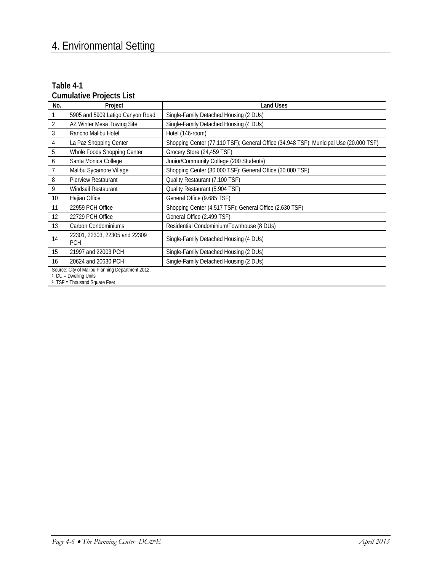#### **Table 4-1 Cumulative Projects List**

| No.                                                                                                                | Project                                     | <b>Land Uses</b>                                                                      |
|--------------------------------------------------------------------------------------------------------------------|---------------------------------------------|---------------------------------------------------------------------------------------|
|                                                                                                                    | 5905 and 5909 Latigo Canyon Road            | Single-Family Detached Housing (2 DUs)                                                |
| 2                                                                                                                  | AZ Winter Mesa Towing Site                  | Single-Family Detached Housing (4 DUs)                                                |
| 3                                                                                                                  | Rancho Malibu Hotel                         | Hotel (146-room)                                                                      |
| 4                                                                                                                  | La Paz Shopping Center                      | Shopping Center (77.110 TSF); General Office (34.948 TSF); Municipal Use (20.000 TSF) |
| 5                                                                                                                  | Whole Foods Shopping Center                 | Grocery Store (24,459 TSF)                                                            |
| 6                                                                                                                  | Santa Monica College                        | Junior/Community College (200 Students)                                               |
| 7                                                                                                                  | Malibu Sycamore Village                     | Shopping Center (30.000 TSF); General Office (30.000 TSF)                             |
| 8                                                                                                                  | <b>Pierview Restaurant</b>                  | Quality Restaurant (7.100 TSF)                                                        |
| 9                                                                                                                  | Windsail Restaurant                         | Quality Restaurant (5.904 TSF)                                                        |
| 10                                                                                                                 | Hajian Office                               | General Office (9.685 TSF)                                                            |
| 11                                                                                                                 | 22959 PCH Office                            | Shopping Center (4.517 TSF); General Office (2.630 TSF)                               |
| 12                                                                                                                 | 22729 PCH Office                            | General Office (2.499 TSF)                                                            |
| 13                                                                                                                 | Carbon Condominiums                         | Residential Condominium/Townhouse (8 DUs)                                             |
| 14                                                                                                                 | 22301, 22303, 22305 and 22309<br><b>PCH</b> | Single-Family Detached Housing (4 DUs)                                                |
| 15                                                                                                                 | 21997 and 22003 PCH                         | Single-Family Detached Housing (2 DUs)                                                |
| 16                                                                                                                 | 20624 and 20630 PCH                         | Single-Family Detached Housing (2 DUs)                                                |
| Source: City of Malibu Planning Department 2012.<br>DU = Dwelling Units<br><sup>2</sup> TSF = Thousand Square Feet |                                             |                                                                                       |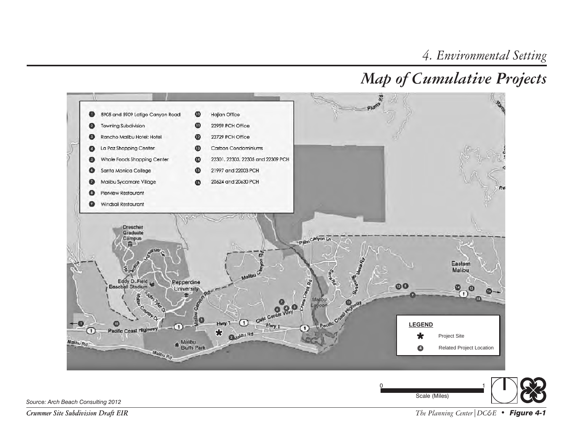# *Map of Cumulative Projects*



*Crummer Site Subdivision Draft EIR*

*The Planning Center|DC&E • Figure 4-1*